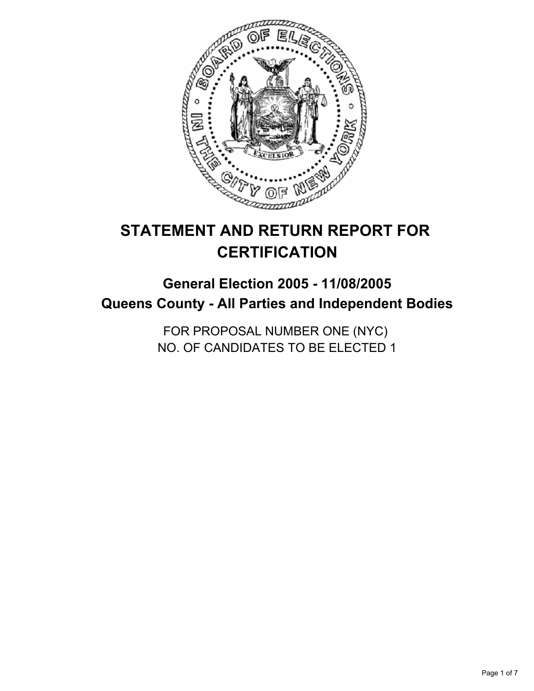

# **STATEMENT AND RETURN REPORT FOR CERTIFICATION**

## **General Election 2005 - 11/08/2005 Queens County - All Parties and Independent Bodies**

FOR PROPOSAL NUMBER ONE (NYC) NO. OF CANDIDATES TO BE ELECTED 1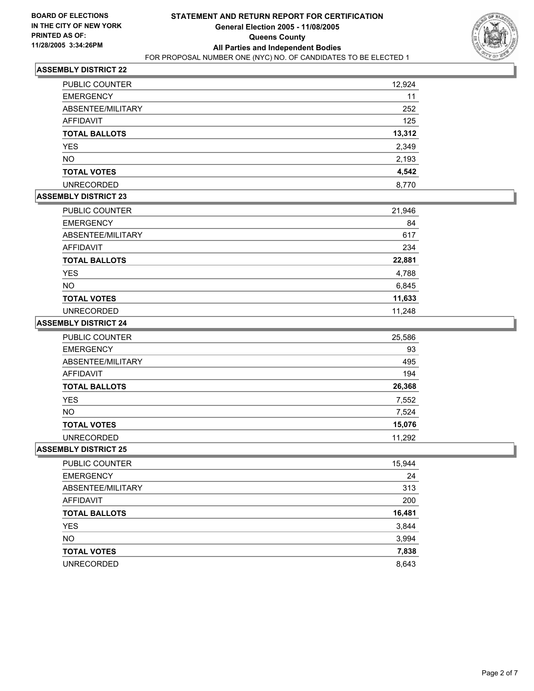

| PUBLIC COUNTER       | 12,924 |
|----------------------|--------|
|                      |        |
| <b>EMERGENCY</b>     | 11     |
| ABSENTEE/MILITARY    | 252    |
| AFFIDAVIT            | 125    |
| <b>TOTAL BALLOTS</b> | 13,312 |
| <b>YES</b>           | 2,349  |
| <b>NO</b>            | 2,193  |
| <b>TOTAL VOTES</b>   | 4,542  |
| <b>UNRECORDED</b>    | 8,770  |

#### **ASSEMBLY DISTRICT 23**

| PUBLIC COUNTER       | 21,946 |
|----------------------|--------|
| <b>EMERGENCY</b>     | 84     |
| ABSENTEE/MILITARY    | 617    |
| AFFIDAVIT            | 234    |
| <b>TOTAL BALLOTS</b> | 22,881 |
| <b>YES</b>           | 4,788  |
| <b>NO</b>            | 6,845  |
| <b>TOTAL VOTES</b>   | 11,633 |
| <b>UNRECORDED</b>    | 11.248 |

#### **ASSEMBLY DISTRICT 24**

| <b>PUBLIC COUNTER</b> | 25,586 |
|-----------------------|--------|
| <b>EMERGENCY</b>      | 93     |
| ABSENTEE/MILITARY     | 495    |
| AFFIDAVIT             | 194    |
| <b>TOTAL BALLOTS</b>  | 26,368 |
| <b>YES</b>            | 7,552  |
| <b>NO</b>             | 7,524  |
| <b>TOTAL VOTES</b>    | 15,076 |
| <b>UNRECORDED</b>     | 11,292 |

| PUBLIC COUNTER       | 15,944 |
|----------------------|--------|
| <b>EMERGENCY</b>     | 24     |
| ABSENTEE/MILITARY    | 313    |
| AFFIDAVIT            | 200    |
| <b>TOTAL BALLOTS</b> | 16,481 |
| <b>YES</b>           | 3,844  |
| <b>NO</b>            | 3,994  |
| <b>TOTAL VOTES</b>   | 7,838  |
| <b>UNRECORDED</b>    | 8,643  |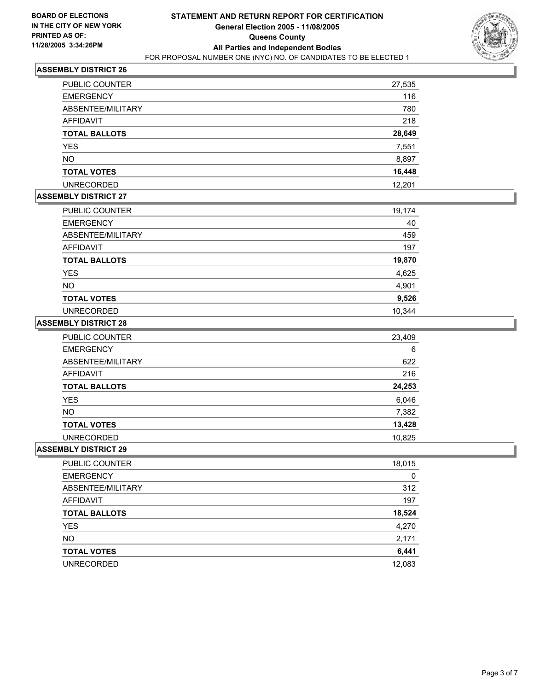

| PUBLIC COUNTER       | 27,535 |
|----------------------|--------|
| <b>EMERGENCY</b>     | 116    |
| ABSENTEE/MILITARY    | 780    |
| AFFIDAVIT            | 218    |
| <b>TOTAL BALLOTS</b> | 28,649 |
| <b>YES</b>           | 7,551  |
| <b>NO</b>            | 8,897  |
| <b>TOTAL VOTES</b>   | 16,448 |
| <b>UNRECORDED</b>    | 12.201 |

#### **ASSEMBLY DISTRICT 27**

| PUBLIC COUNTER       | 19,174 |
|----------------------|--------|
| <b>EMERGENCY</b>     | 40     |
| ABSENTEE/MILITARY    | 459    |
| <b>AFFIDAVIT</b>     | 197    |
| <b>TOTAL BALLOTS</b> | 19,870 |
| <b>YES</b>           | 4,625  |
| <b>NO</b>            | 4,901  |
| <b>TOTAL VOTES</b>   | 9,526  |
| <b>UNRECORDED</b>    | 10,344 |

#### **ASSEMBLY DISTRICT 28**

| PUBLIC COUNTER       | 23,409 |
|----------------------|--------|
| <b>EMERGENCY</b>     | 6      |
| ABSENTEE/MILITARY    | 622    |
| AFFIDAVIT            | 216    |
| <b>TOTAL BALLOTS</b> | 24,253 |
| <b>YES</b>           | 6,046  |
| <b>NO</b>            | 7,382  |
| <b>TOTAL VOTES</b>   | 13,428 |
| <b>UNRECORDED</b>    | 10,825 |

| PUBLIC COUNTER       | 18,015 |
|----------------------|--------|
| <b>EMERGENCY</b>     | 0      |
| ABSENTEE/MILITARY    | 312    |
| AFFIDAVIT            | 197    |
| <b>TOTAL BALLOTS</b> | 18,524 |
| <b>YES</b>           | 4,270  |
| <b>NO</b>            | 2,171  |
| <b>TOTAL VOTES</b>   | 6,441  |
| <b>UNRECORDED</b>    | 12,083 |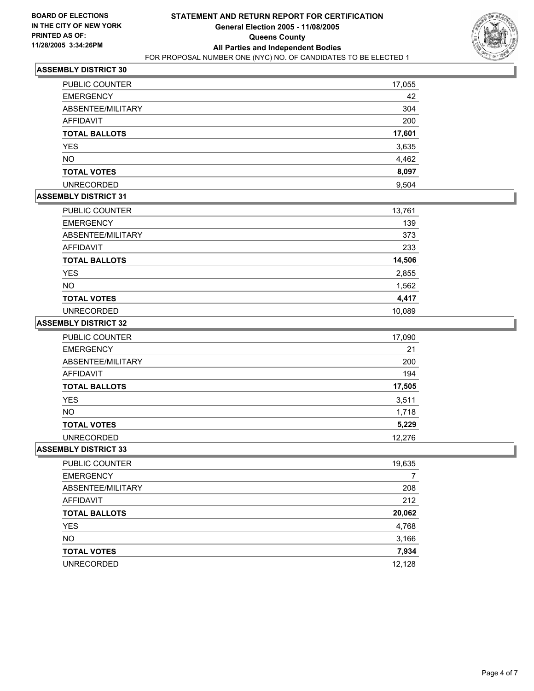

| PUBLIC COUNTER       | 17,055 |
|----------------------|--------|
| <b>EMERGENCY</b>     | 42     |
| ABSENTEE/MILITARY    | 304    |
| AFFIDAVIT            | 200    |
| <b>TOTAL BALLOTS</b> | 17,601 |
| <b>YES</b>           | 3,635  |
| <b>NO</b>            | 4,462  |
| <b>TOTAL VOTES</b>   | 8,097  |
| <b>UNRECORDED</b>    | 9,504  |

## **ASSEMBLY DISTRICT 31**

| <b>PUBLIC COUNTER</b> | 13,761 |
|-----------------------|--------|
| <b>EMERGENCY</b>      | 139    |
| ABSENTEE/MILITARY     | 373    |
| <b>AFFIDAVIT</b>      | 233    |
| <b>TOTAL BALLOTS</b>  | 14,506 |
| <b>YES</b>            | 2,855  |
| <b>NO</b>             | 1,562  |
| <b>TOTAL VOTES</b>    | 4,417  |
| <b>UNRECORDED</b>     | 10.089 |

#### **ASSEMBLY DISTRICT 32**

| <b>PUBLIC COUNTER</b> | 17,090 |
|-----------------------|--------|
| <b>EMERGENCY</b>      | 21     |
| ABSENTEE/MILITARY     | 200    |
| AFFIDAVIT             | 194    |
| <b>TOTAL BALLOTS</b>  | 17,505 |
| <b>YES</b>            | 3,511  |
| <b>NO</b>             | 1,718  |
| <b>TOTAL VOTES</b>    | 5,229  |
| <b>UNRECORDED</b>     | 12,276 |

| PUBLIC COUNTER       | 19,635 |
|----------------------|--------|
| <b>EMERGENCY</b>     |        |
| ABSENTEE/MILITARY    | 208    |
| AFFIDAVIT            | 212    |
| <b>TOTAL BALLOTS</b> | 20,062 |
| <b>YES</b>           | 4,768  |
| <b>NO</b>            | 3,166  |
| <b>TOTAL VOTES</b>   | 7,934  |
| <b>UNRECORDED</b>    | 12,128 |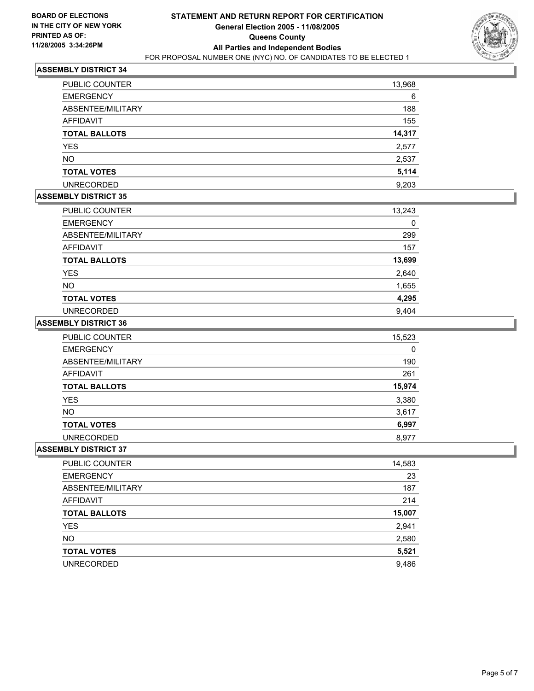

| <b>PUBLIC COUNTER</b> | 13,968 |
|-----------------------|--------|
| <b>EMERGENCY</b>      | 6      |
| ABSENTEE/MILITARY     | 188    |
| <b>AFFIDAVIT</b>      | 155    |
| <b>TOTAL BALLOTS</b>  | 14,317 |
| <b>YES</b>            | 2,577  |
| <b>NO</b>             | 2,537  |
| <b>TOTAL VOTES</b>    | 5,114  |
| <b>UNRECORDED</b>     | 9,203  |

## **ASSEMBLY DISTRICT 35**

| PUBLIC COUNTER       | 13,243 |
|----------------------|--------|
| <b>EMERGENCY</b>     | 0      |
| ABSENTEE/MILITARY    | 299    |
| AFFIDAVIT            | 157    |
| <b>TOTAL BALLOTS</b> | 13,699 |
| <b>YES</b>           | 2,640  |
| <b>NO</b>            | 1,655  |
| <b>TOTAL VOTES</b>   | 4,295  |
| <b>UNRECORDED</b>    | 9,404  |

#### **ASSEMBLY DISTRICT 36**

| PUBLIC COUNTER       | 15,523 |
|----------------------|--------|
| <b>EMERGENCY</b>     | 0      |
| ABSENTEE/MILITARY    | 190    |
| AFFIDAVIT            | 261    |
| <b>TOTAL BALLOTS</b> | 15,974 |
| <b>YES</b>           | 3,380  |
| <b>NO</b>            | 3,617  |
| <b>TOTAL VOTES</b>   | 6,997  |
| <b>UNRECORDED</b>    | 8,977  |

| PUBLIC COUNTER       | 14,583 |
|----------------------|--------|
| <b>EMERGENCY</b>     | 23     |
| ABSENTEE/MILITARY    | 187    |
| AFFIDAVIT            | 214    |
| <b>TOTAL BALLOTS</b> | 15,007 |
| <b>YES</b>           | 2,941  |
| <b>NO</b>            | 2,580  |
| <b>TOTAL VOTES</b>   | 5,521  |
| <b>UNRECORDED</b>    | 9,486  |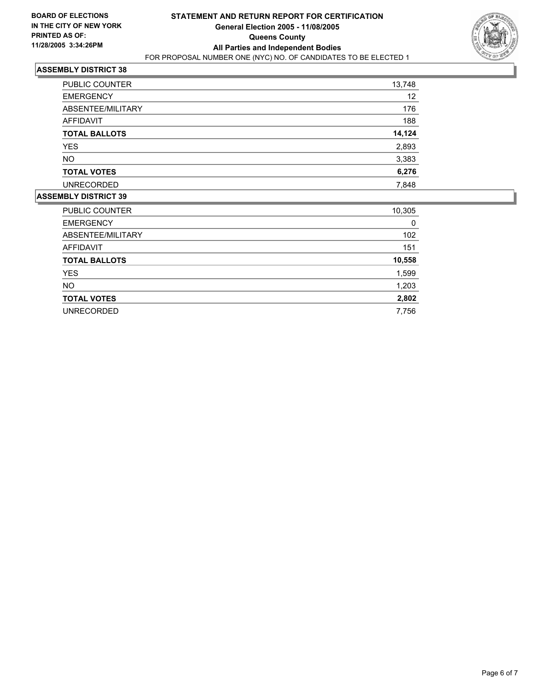

| <b>PUBLIC COUNTER</b> | 13,748 |
|-----------------------|--------|
| <b>EMERGENCY</b>      | 12     |
| ABSENTEE/MILITARY     | 176    |
| AFFIDAVIT             | 188    |
| <b>TOTAL BALLOTS</b>  | 14,124 |
| <b>YES</b>            | 2,893  |
| <b>NO</b>             | 3,383  |
| <b>TOTAL VOTES</b>    | 6,276  |
| <b>UNRECORDED</b>     | 7,848  |
|                       |        |

| 10,305 |
|--------|
| 0      |
| 102    |
| 151    |
| 10,558 |
| 1,599  |
| 1,203  |
| 2,802  |
| 7,756  |
|        |